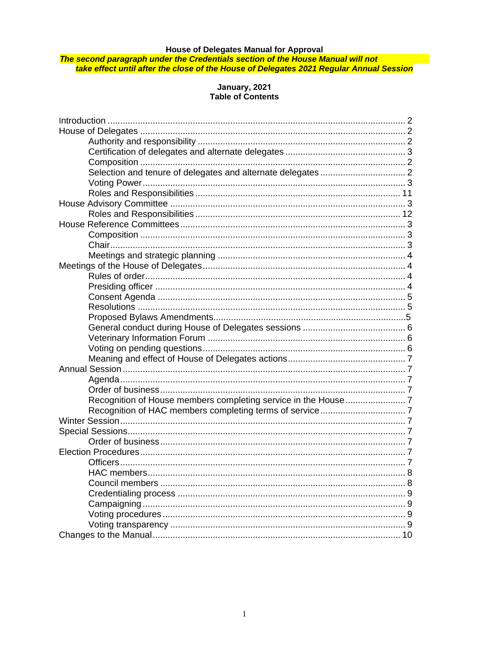House of Delegates Manual for Approval<br><mark>The second paragraph under the Credentials section of the House Manual will not</mark><br>fake effect until after the close of the House of Delegates 2021 Regular Annual Session

# January, 2021<br>Table of Contents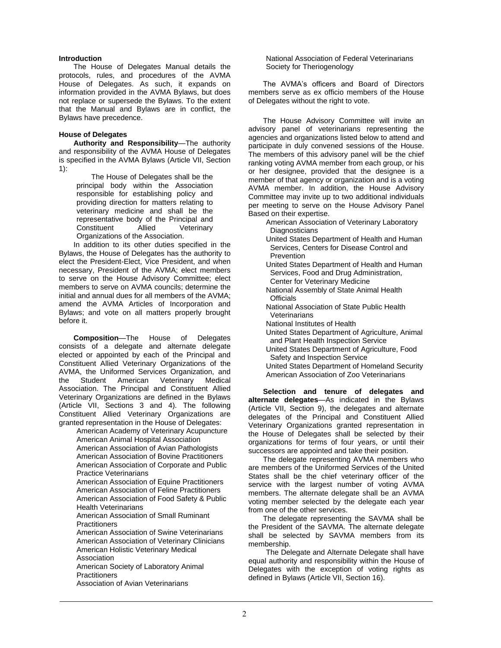#### **Introduction**

The House of Delegates Manual details the protocols, rules, and procedures of the AVMA House of Delegates. As such, it expands on information provided in the AVMA Bylaws, but does not replace or supersede the Bylaws. To the extent that the Manual and Bylaws are in conflict, the Bylaws have precedence.

# **House of Delegates**

**Authority and Responsibility**—The authority and responsibility of the AVMA House of Delegates is specified in the AVMA Bylaws (Article VII, Section 1):

The House of Delegates shall be the principal body within the Association responsible for establishing policy and providing direction for matters relating to veterinary medicine and shall be the representative body of the Principal and Constituent Allied Veterinary Organizations of the Association.

In addition to its other duties specified in the Bylaws, the House of Delegates has the authority to elect the President-Elect, Vice President, and when necessary, President of the AVMA; elect members to serve on the House Advisory Committee; elect members to serve on AVMA councils; determine the initial and annual dues for all members of the AVMA; amend the AVMA Articles of Incorporation and Bylaws; and vote on all matters properly brought before it.

**Composition**—The House of Delegates consists of a delegate and alternate delegate elected or appointed by each of the Principal and Constituent Allied Veterinary Organizations of the AVMA, the Uniformed Services Organization, and the Student American Veterinary Medical Association. The Principal and Constituent Allied Veterinary Organizations are defined in the Bylaws (Article VII, Sections 3 and 4). The following Constituent Allied Veterinary Organizations are granted representation in the House of Delegates:

American Academy of Veterinary Acupuncture American Animal Hospital Association American Association of Avian Pathologists American Association of Bovine Practitioners American Association of Corporate and Public Practice Veterinarians American Association of Equine Practitioners American Association of Feline Practitioners American Association of Food Safety & Public Health Veterinarians American Association of Small Ruminant **Practitioners** American Association of Swine Veterinarians American Association of Veterinary Clinicians American Holistic Veterinary Medical Association American Society of Laboratory Animal **Practitioners** 

Association of Avian Veterinarians

National Association of Federal Veterinarians Society for Theriogenology

The AVMA's officers and Board of Directors members serve as ex officio members of the House of Delegates without the right to vote.

The House Advisory Committee will invite an advisory panel of veterinarians representing the agencies and organizations listed below to attend and participate in duly convened sessions of the House. The members of this advisory panel will be the chief ranking voting AVMA member from each group, or his or her designee, provided that the designee is a member of that agency or organization and is a voting AVMA member. In addition, the House Advisory Committee may invite up to two additional individuals per meeting to serve on the House Advisory Panel Based on their expertise.

American Association of Veterinary Laboratory **Diagnosticians** 

United States Department of Health and Human Services, Centers for Disease Control and Prevention

United States Department of Health and Human Services, Food and Drug Administration, Center for Veterinary Medicine

- National Assembly of State Animal Health **Officials**
- National Association of State Public Health **Veterinarians**
- National Institutes of Health
- United States Department of Agriculture, Animal and Plant Health Inspection Service
- United States Department of Agriculture, Food Safety and Inspection Service
- United States Department of Homeland Security American Association of Zoo Veterinarians

**Selection and tenure of delegates and alternate delegates**—As indicated in the Bylaws (Article VII, Section 9), the delegates and alternate delegates of the Principal and Constituent Allied Veterinary Organizations granted representation in the House of Delegates shall be selected by their organizations for terms of four years, or until their successors are appointed and take their position.

The delegate representing AVMA members who are members of the Uniformed Services of the United States shall be the chief veterinary officer of the service with the largest number of voting AVMA members. The alternate delegate shall be an AVMA voting member selected by the delegate each year from one of the other services.

The delegate representing the SAVMA shall be the President of the SAVMA. The alternate delegate shall be selected by SAVMA members from its membership.

The Delegate and Alternate Delegate shall have equal authority and responsibility within the House of Delegates with the exception of voting rights as defined in Bylaws (Article VII, Section 16).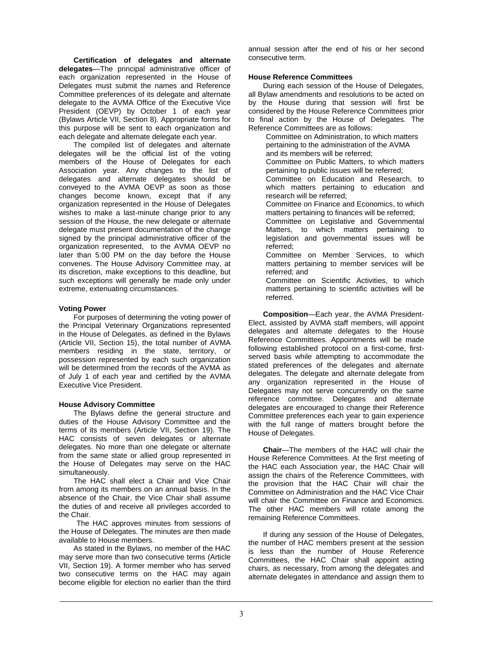**Certification of delegates and alternate delegates**—The principal administrative officer of each organization represented in the House of Delegates must submit the names and Reference Committee preferences of its delegate and alternate delegate to the AVMA Office of the Executive Vice President (OEVP) by October 1 of each year (Bylaws Article VII, Section 8). Appropriate forms for this purpose will be sent to each organization and each delegate and alternate delegate each year.

The compiled list of delegates and alternate delegates will be the official list of the voting members of the House of Delegates for each Association year. Any changes to the list of delegates and alternate delegates should be conveyed to the AVMA OEVP as soon as those changes become known, except that if any organization represented in the House of Delegates wishes to make a last-minute change prior to any session of the House, the new delegate or alternate delegate must present documentation of the change signed by the principal administrative officer of the organization represented, to the AVMA OEVP no later than 5:00 PM on the day before the House convenes. The House Advisory Committee may, at its discretion, make exceptions to this deadline, but such exceptions will generally be made only under extreme, extenuating circumstances.

### **Voting Power**

For purposes of determining the voting power of the Principal Veterinary Organizations represented in the House of Delegates, as defined in the Bylaws (Article VII, Section 15), the total number of AVMA members residing in the state, territory, or possession represented by each such organization will be determined from the records of the AVMA as of July 1 of each year and certified by the AVMA Executive Vice President.

# **House Advisory Committee**

The Bylaws define the general structure and duties of the House Advisory Committee and the terms of its members (Article VII, Section 19). The HAC consists of seven delegates or alternate delegates. No more than one delegate or alternate from the same state or allied group represented in the House of Delegates may serve on the HAC simultaneously.

The HAC shall elect a Chair and Vice Chair from among its members on an annual basis. In the absence of the Chair, the Vice Chair shall assume the duties of and receive all privileges accorded to the Chair.

The HAC approves minutes from sessions of the House of Delegates. The minutes are then made available to House members.

As stated in the Bylaws, no member of the HAC may serve more than two consecutive terms (Article VII, Section 19). A former member who has served two consecutive terms on the HAC may again become eligible for election no earlier than the third

annual session after the end of his or her second consecutive term.

# **House Reference Committees**

During each session of the House of Delegates, all Bylaw amendments and resolutions to be acted on by the House during that session will first be considered by the House Reference Committees prior to final action by the House of Delegates. The Reference Committees are as follows:

Committee on Administration, to which matters pertaining to the administration of the AVMA and its members will be referred;

Committee on Public Matters, to which matters pertaining to public issues will be referred;

Committee on Education and Research, to which matters pertaining to education and research will be referred;

Committee on Finance and Economics, to which matters pertaining to finances will be referred;

Committee on Legislative and Governmental Matters, to which matters pertaining to legislation and governmental issues will be referred;

Committee on Member Services, to which matters pertaining to member services will be referred; and

Committee on Scientific Activities, to which matters pertaining to scientific activities will be referred.

**Composition**—Each year, the AVMA President-Elect, assisted by AVMA staff members, will appoint delegates and alternate delegates to the House Reference Committees. Appointments will be made following established protocol on a first-come, firstserved basis while attempting to accommodate the stated preferences of the delegates and alternate delegates. The delegate and alternate delegate from any organization represented in the House of Delegates may not serve concurrently on the same reference committee. Delegates and alternate delegates are encouraged to change their Reference Committee preferences each year to gain experience with the full range of matters brought before the House of Delegates.

**Chair**—The members of the HAC will chair the House Reference Committees. At the first meeting of the HAC each Association year, the HAC Chair will assign the chairs of the Reference Committees, with the provision that the HAC Chair will chair the Committee on Administration and the HAC Vice Chair will chair the Committee on Finance and Economics. The other HAC members will rotate among the remaining Reference Committees.

If during any session of the House of Delegates, the number of HAC members present at the session is less than the number of House Reference Committees, the HAC Chair shall appoint acting chairs, as necessary, from among the delegates and alternate delegates in attendance and assign them to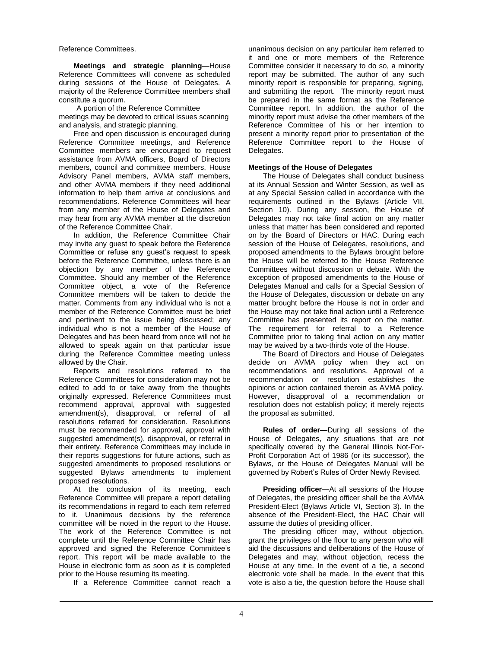Reference Committees.

**Meetings and strategic planning**—House Reference Committees will convene as scheduled during sessions of the House of Delegates. A majority of the Reference Committee members shall constitute a quorum.

A portion of the Reference Committee meetings may be devoted to critical issues scanning and analysis, and strategic planning.

Free and open discussion is encouraged during Reference Committee meetings, and Reference Committee members are encouraged to request assistance from AVMA officers, Board of Directors members, council and committee members, House Advisory Panel members, AVMA staff members, and other AVMA members if they need additional information to help them arrive at conclusions and recommendations. Reference Committees will hear from any member of the House of Delegates and may hear from any AVMA member at the discretion of the Reference Committee Chair.

In addition, the Reference Committee Chair may invite any guest to speak before the Reference Committee or refuse any guest's request to speak before the Reference Committee, unless there is an objection by any member of the Reference Committee. Should any member of the Reference Committee object, a vote of the Reference Committee members will be taken to decide the matter. Comments from any individual who is not a member of the Reference Committee must be brief and pertinent to the issue being discussed; any individual who is not a member of the House of Delegates and has been heard from once will not be allowed to speak again on that particular issue during the Reference Committee meeting unless allowed by the Chair.

Reports and resolutions referred to the Reference Committees for consideration may not be edited to add to or take away from the thoughts originally expressed. Reference Committees must recommend approval, approval with suggested amendment(s), disapproval, or referral of all resolutions referred for consideration. Resolutions must be recommended for approval, approval with suggested amendment(s), disapproval, or referral in their entirety. Reference Committees may include in their reports suggestions for future actions, such as suggested amendments to proposed resolutions or suggested Bylaws amendments to implement proposed resolutions.

At the conclusion of its meeting, each Reference Committee will prepare a report detailing its recommendations in regard to each item referred to it. Unanimous decisions by the reference committee will be noted in the report to the House. The work of the Reference Committee is not complete until the Reference Committee Chair has approved and signed the Reference Committee's report. This report will be made available to the House in electronic form as soon as it is completed prior to the House resuming its meeting.

If a Reference Committee cannot reach a

unanimous decision on any particular item referred to it and one or more members of the Reference Committee consider it necessary to do so, a minority report may be submitted. The author of any such minority report is responsible for preparing, signing, and submitting the report. The minority report must be prepared in the same format as the Reference Committee report. In addition, the author of the minority report must advise the other members of the Reference Committee of his or her intention to present a minority report prior to presentation of the Reference Committee report to the House of Delegates.

#### **Meetings of the House of Delegates**

The House of Delegates shall conduct business at its Annual Session and Winter Session, as well as at any Special Session called in accordance with the requirements outlined in the Bylaws (Article VII, Section 10). During any session, the House of Delegates may not take final action on any matter unless that matter has been considered and reported on by the Board of Directors or HAC. During each session of the House of Delegates, resolutions, and proposed amendments to the Bylaws brought before the House will be referred to the House Reference Committees without discussion or debate. With the exception of proposed amendments to the House of Delegates Manual and calls for a Special Session of the House of Delegates, discussion or debate on any matter brought before the House is not in order and the House may not take final action until a Reference Committee has presented its report on the matter. The requirement for referral to a Reference Committee prior to taking final action on any matter may be waived by a two-thirds vote of the House.

The Board of Directors and House of Delegates decide on AVMA policy when they act on recommendations and resolutions. Approval of a recommendation or resolution establishes the opinions or action contained therein as AVMA policy. However, disapproval of a recommendation or resolution does not establish policy; it merely rejects the proposal as submitted.

**Rules of order**—During all sessions of the House of Delegates, any situations that are not specifically covered by the General Illinois Not-For-Profit Corporation Act of 1986 (or its successor), the Bylaws, or the House of Delegates Manual will be governed by Robert's Rules of Order Newly Revised.

**Presiding officer**—At all sessions of the House of Delegates, the presiding officer shall be the AVMA President-Elect (Bylaws Article VI, Section 3). In the absence of the President-Elect, the HAC Chair will assume the duties of presiding officer.

The presiding officer may, without objection, grant the privileges of the floor to any person who will aid the discussions and deliberations of the House of Delegates and may, without objection, recess the House at any time. In the event of a tie, a second electronic vote shall be made. In the event that this vote is also a tie, the question before the House shall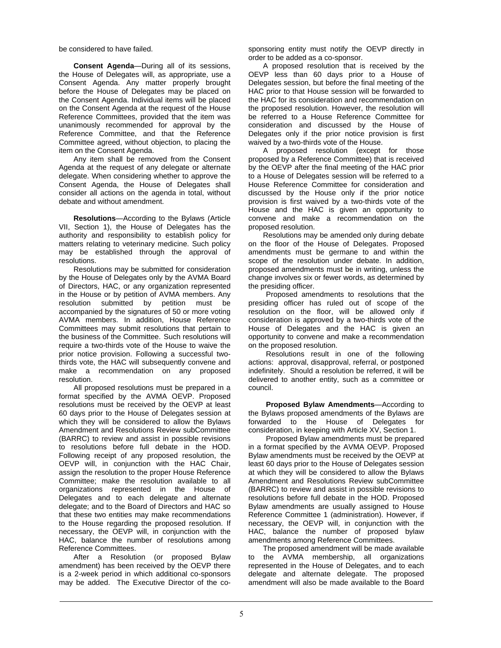be considered to have failed.

**Consent Agenda**—During all of its sessions, the House of Delegates will, as appropriate, use a Consent Agenda. Any matter properly brought before the House of Delegates may be placed on the Consent Agenda. Individual items will be placed on the Consent Agenda at the request of the House Reference Committees, provided that the item was unanimously recommended for approval by the Reference Committee, and that the Reference Committee agreed, without objection, to placing the item on the Consent Agenda.

Any item shall be removed from the Consent Agenda at the request of any delegate or alternate delegate. When considering whether to approve the Consent Agenda, the House of Delegates shall consider all actions on the agenda in total, without debate and without amendment.

**Resolutions**—According to the Bylaws (Article VII, Section 1), the House of Delegates has the authority and responsibility to establish policy for matters relating to veterinary medicine. Such policy may be established through the approval of resolutions.

Resolutions may be submitted for consideration by the House of Delegates only by the AVMA Board of Directors, HAC, or any organization represented in the House or by petition of AVMA members. Any resolution submitted by petition must be accompanied by the signatures of 50 or more voting AVMA members. In addition, House Reference Committees may submit resolutions that pertain to the business of the Committee. Such resolutions will require a two-thirds vote of the House to waive the prior notice provision. Following a successful twothirds vote, the HAC will subsequently convene and make a recommendation on any proposed resolution.

All proposed resolutions must be prepared in a format specified by the AVMA OEVP. Proposed resolutions must be received by the OEVP at least 60 days prior to the House of Delegates session at which they will be considered to allow the Bylaws Amendment and Resolutions Review subCommittee (BARRC) to review and assist in possible revisions to resolutions before full debate in the HOD. Following receipt of any proposed resolution, the OEVP will, in conjunction with the HAC Chair, assign the resolution to the proper House Reference Committee; make the resolution available to all organizations represented in the House of Delegates and to each delegate and alternate delegate; and to the Board of Directors and HAC so that these two entities may make recommendations to the House regarding the proposed resolution. If necessary, the OEVP will, in conjunction with the HAC, balance the number of resolutions among Reference Committees.

After a Resolution (or proposed Bylaw amendment) has been received by the OEVP there is a 2-week period in which additional co-sponsors may be added. The Executive Director of the cosponsoring entity must notify the OEVP directly in order to be added as a co-sponsor.

A proposed resolution that is received by the OEVP less than 60 days prior to a House of Delegates session, but before the final meeting of the HAC prior to that House session will be forwarded to the HAC for its consideration and recommendation on the proposed resolution. However, the resolution will be referred to a House Reference Committee for consideration and discussed by the House of Delegates only if the prior notice provision is first waived by a two-thirds vote of the House.

A proposed resolution (except for those proposed by a Reference Committee) that is received by the OEVP after the final meeting of the HAC prior to a House of Delegates session will be referred to a House Reference Committee for consideration and discussed by the House only if the prior notice provision is first waived by a two-thirds vote of the House and the HAC is given an opportunity to convene and make a recommendation on the proposed resolution.

Resolutions may be amended only during debate on the floor of the House of Delegates. Proposed amendments must be germane to and within the scope of the resolution under debate. In addition, proposed amendments must be in writing, unless the change involves six or fewer words, as determined by the presiding officer.

Proposed amendments to resolutions that the presiding officer has ruled out of scope of the resolution on the floor, will be allowed only if consideration is approved by a two-thirds vote of the House of Delegates and the HAC is given an opportunity to convene and make a recommendation on the proposed resolution.

Resolutions result in one of the following actions: approval, disapproval, referral, or postponed indefinitely. Should a resolution be referred, it will be delivered to another entity, such as a committee or council.

**Proposed Bylaw Amendments**—According to the Bylaws proposed amendments of the Bylaws are forwarded to the House of Delegates for consideration, in keeping with Article XV, Section 1.

Proposed Bylaw amendments must be prepared in a format specified by the AVMA OEVP. Proposed Bylaw amendments must be received by the OEVP at least 60 days prior to the House of Delegates session at which they will be considered to allow the Bylaws Amendment and Resolutions Review subCommittee (BARRC) to review and assist in possible revisions to resolutions before full debate in the HOD. Proposed Bylaw amendments are usually assigned to House Reference Committee 1 (administration). However, if necessary, the OEVP will, in conjunction with the HAC, balance the number of proposed bylaw amendments among Reference Committees.

The proposed amendment will be made available to the AVMA membership, all organizations represented in the House of Delegates, and to each delegate and alternate delegate. The proposed amendment will also be made available to the Board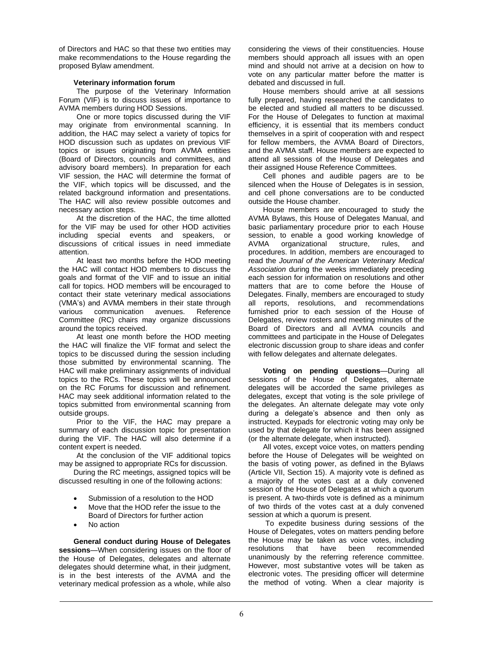of Directors and HAC so that these two entities may make recommendations to the House regarding the proposed Bylaw amendment.

# **Veterinary information forum**

The purpose of the Veterinary Information Forum (VIF) is to discuss issues of importance to AVMA members during HOD Sessions.

One or more topics discussed during the VIF may originate from environmental scanning. In addition, the HAC may select a variety of topics for HOD discussion such as updates on previous VIF topics or issues originating from AVMA entities (Board of Directors, councils and committees, and advisory board members). In preparation for each VIF session, the HAC will determine the format of the VIF, which topics will be discussed, and the related background information and presentations. The HAC will also review possible outcomes and necessary action steps.

At the discretion of the HAC, the time allotted for the VIF may be used for other HOD activities including special events and speakers, or discussions of critical issues in need immediate attention.

At least two months before the HOD meeting the HAC will contact HOD members to discuss the goals and format of the VIF and to issue an initial call for topics. HOD members will be encouraged to contact their state veterinary medical associations (VMA's) and AVMA members in their state through various communication avenues. Reference Committee (RC) chairs may organize discussions around the topics received.

At least one month before the HOD meeting the HAC will finalize the VIF format and select the topics to be discussed during the session including those submitted by environmental scanning. The HAC will make preliminary assignments of individual topics to the RCs. These topics will be announced on the RC Forums for discussion and refinement. HAC may seek additional information related to the topics submitted from environmental scanning from outside groups.

Prior to the VIF, the HAC may prepare a summary of each discussion topic for presentation during the VIF. The HAC will also determine if a content expert is needed.

At the conclusion of the VIF additional topics may be assigned to appropriate RCs for discussion.

During the RC meetings, assigned topics will be discussed resulting in one of the following actions:

- Submission of a resolution to the HOD
- Move that the HOD refer the issue to the Board of Directors for further action
- No action

**General conduct during House of Delegates sessions**—When considering issues on the floor of the House of Delegates, delegates and alternate delegates should determine what, in their judgment, is in the best interests of the AVMA and the veterinary medical profession as a whole, while also

considering the views of their constituencies. House members should approach all issues with an open mind and should not arrive at a decision on how to vote on any particular matter before the matter is debated and discussed in full.

House members should arrive at all sessions fully prepared, having researched the candidates to be elected and studied all matters to be discussed. For the House of Delegates to function at maximal efficiency, it is essential that its members conduct themselves in a spirit of cooperation with and respect for fellow members, the AVMA Board of Directors, and the AVMA staff. House members are expected to attend all sessions of the House of Delegates and their assigned House Reference Committees.

Cell phones and audible pagers are to be silenced when the House of Delegates is in session, and cell phone conversations are to be conducted outside the House chamber.

House members are encouraged to study the AVMA Bylaws, this House of Delegates Manual, and basic parliamentary procedure prior to each House session, to enable a good working knowledge of AVMA organizational structure, rules, and procedures. In addition, members are encouraged to read the *Journal of the American Veterinary Medical Association* during the weeks immediately preceding each session for information on resolutions and other matters that are to come before the House of Delegates. Finally, members are encouraged to study all reports, resolutions, and recommendations furnished prior to each session of the House of Delegates, review rosters and meeting minutes of the Board of Directors and all AVMA councils and committees and participate in the House of Delegates electronic discussion group to share ideas and confer with fellow delegates and alternate delegates.

**Voting on pending questions**—During all sessions of the House of Delegates, alternate delegates will be accorded the same privileges as delegates, except that voting is the sole privilege of the delegates. An alternate delegate may vote only during a delegate's absence and then only as instructed. Keypads for electronic voting may only be used by that delegate for which it has been assigned (or the alternate delegate, when instructed).

All votes, except voice votes, on matters pending before the House of Delegates will be weighted on the basis of voting power, as defined in the Bylaws (Article VII, Section 15). A majority vote is defined as a majority of the votes cast at a duly convened session of the House of Delegates at which a quorum is present. A two-thirds vote is defined as a minimum of two thirds of the votes cast at a duly convened session at which a quorum is present.

To expedite business during sessions of the House of Delegates, votes on matters pending before the House may be taken as voice votes, including resolutions that have been recommended unanimously by the referring reference committee. However, most substantive votes will be taken as electronic votes. The presiding officer will determine the method of voting. When a clear majority is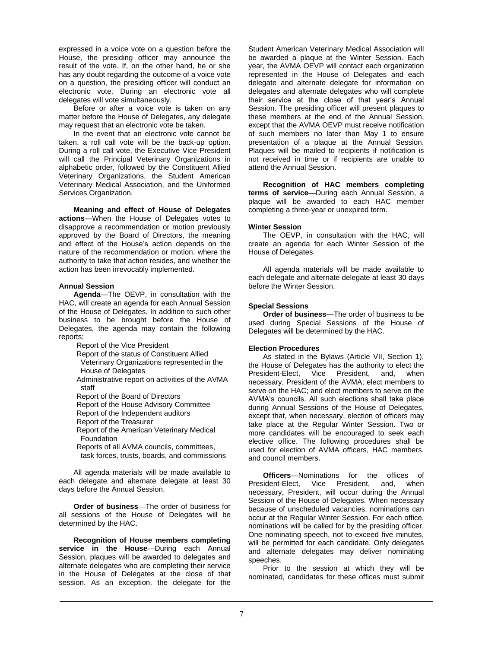expressed in a voice vote on a question before the House, the presiding officer may announce the result of the vote. If, on the other hand, he or she has any doubt regarding the outcome of a voice vote on a question, the presiding officer will conduct an electronic vote. During an electronic vote all delegates will vote simultaneously.

Before or after a voice vote is taken on any matter before the House of Delegates, any delegate may request that an electronic vote be taken.

In the event that an electronic vote cannot be taken, a roll call vote will be the back-up option. During a roll call vote, the Executive Vice President will call the Principal Veterinary Organizations in alphabetic order, followed by the Constituent Allied Veterinary Organizations, the Student American Veterinary Medical Association, and the Uniformed Services Organization.

**Meaning and effect of House of Delegates actions**—When the House of Delegates votes to disapprove a recommendation or motion previously approved by the Board of Directors, the meaning and effect of the House's action depends on the nature of the recommendation or motion, where the authority to take that action resides, and whether the action has been irrevocably implemented.

#### **Annual Session**

**Agenda**—The OEVP, in consultation with the HAC, will create an agenda for each Annual Session of the House of Delegates. In addition to such other business to be brought before the House of Delegates, the agenda may contain the following reports:

Report of the Vice President

Report of the status of Constituent Allied

 Veterinary Organizations represented in the House of Delegates

Administrative report on activities of the AVMA staff

Report of the Board of Directors

Report of the House Advisory Committee

Report of the Independent auditors

Report of the Treasurer

Report of the American Veterinary Medical Foundation

Reports of all AVMA councils, committees, task forces, trusts, boards, and commissions

All agenda materials will be made available to each delegate and alternate delegate at least 30 days before the Annual Session.

**Order of business**—The order of business for all sessions of the House of Delegates will be determined by the HAC.

**Recognition of House members completing service in the House**—During each Annual Session, plaques will be awarded to delegates and alternate delegates who are completing their service in the House of Delegates at the close of that session. As an exception, the delegate for the

Student American Veterinary Medical Association will be awarded a plaque at the Winter Session. Each year, the AVMA OEVP will contact each organization represented in the House of Delegates and each delegate and alternate delegate for information on delegates and alternate delegates who will complete their service at the close of that year's Annual Session. The presiding officer will present plaques to these members at the end of the Annual Session, except that the AVMA OEVP must receive notification of such members no later than May 1 to ensure presentation of a plaque at the Annual Session. Plaques will be mailed to recipients if notification is not received in time or if recipients are unable to attend the Annual Session.

**Recognition of HAC members completing terms of service**—During each Annual Session, a plaque will be awarded to each HAC member completing a three-year or unexpired term.

#### **Winter Session**

The OEVP, in consultation with the HAC, will create an agenda for each Winter Session of the House of Delegates.

All agenda materials will be made available to each delegate and alternate delegate at least 30 days before the Winter Session.

#### **Special Sessions**

**Order of business**—The order of business to be used during Special Sessions of the House of Delegates will be determined by the HAC.

#### **Election Procedures**

As stated in the Bylaws (Article VII, Section 1), the House of Delegates has the authority to elect the President-Elect, Vice President, and, when necessary, President of the AVMA; elect members to serve on the HAC; and elect members to serve on the AVMA's councils. All such elections shall take place during Annual Sessions of the House of Delegates, except that, when necessary, election of officers may take place at the Regular Winter Session. Two or more candidates will be encouraged to seek each elective office. The following procedures shall be used for election of AVMA officers, HAC members, and council members.

**Officers**—Nominations for the offices of President-Elect, Vice President, and, when necessary, President, will occur during the Annual Session of the House of Delegates. When necessary because of unscheduled vacancies, nominations can occur at the Regular Winter Session. For each office, nominations will be called for by the presiding officer. One nominating speech, not to exceed five minutes, will be permitted for each candidate. Only delegates and alternate delegates may deliver nominating speeches.

Prior to the session at which they will be nominated, candidates for these offices must submit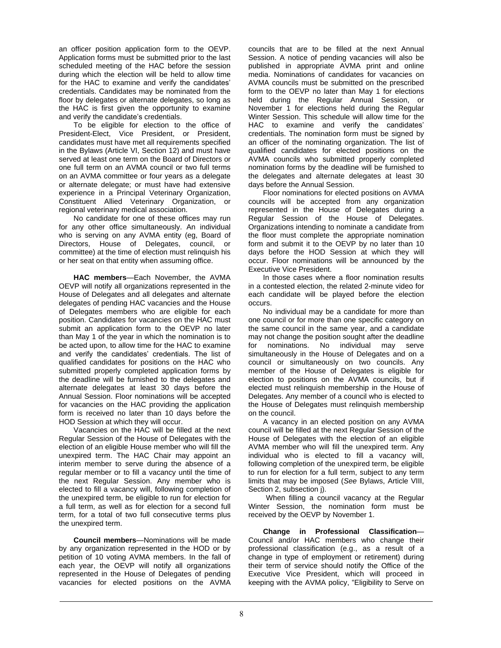an officer position application form to the OEVP. Application forms must be submitted prior to the last scheduled meeting of the HAC before the session during which the election will be held to allow time for the HAC to examine and verify the candidates' credentials. Candidates may be nominated from the floor by delegates or alternate delegates, so long as the HAC is first given the opportunity to examine and verify the candidate's credentials.

To be eligible for election to the office of President-Elect, Vice President, or President, candidates must have met all requirements specified in the Bylaws (Article VI, Section 12) and must have served at least one term on the Board of Directors or one full term on an AVMA council or two full terms on an AVMA committee or four years as a delegate or alternate delegate; or must have had extensive experience in a Principal Veterinary Organization, Constituent Allied Veterinary Organization, or regional veterinary medical association.

No candidate for one of these offices may run for any other office simultaneously. An individual who is serving on any AVMA entity (eg, Board of Directors, House of Delegates, council, or committee) at the time of election must relinquish his or her seat on that entity when assuming office.

**HAC members**—Each November, the AVMA OEVP will notify all organizations represented in the House of Delegates and all delegates and alternate delegates of pending HAC vacancies and the House of Delegates members who are eligible for each position. Candidates for vacancies on the HAC must submit an application form to the OEVP no later than May 1 of the year in which the nomination is to be acted upon, to allow time for the HAC to examine and verify the candidates' credentials. The list of qualified candidates for positions on the HAC who submitted properly completed application forms by the deadline will be furnished to the delegates and alternate delegates at least 30 days before the Annual Session. Floor nominations will be accepted for vacancies on the HAC providing the application form is received no later than 10 days before the HOD Session at which they will occur.

Vacancies on the HAC will be filled at the next Regular Session of the House of Delegates with the election of an eligible House member who will fill the unexpired term. The HAC Chair may appoint an interim member to serve during the absence of a regular member or to fill a vacancy until the time of the next Regular Session. Any member who is elected to fill a vacancy will, following completion of the unexpired term, be eligible to run for election for a full term, as well as for election for a second full term, for a total of two full consecutive terms plus the unexpired term.

**Council members**—Nominations will be made by any organization represented in the HOD or by petition of 10 voting AVMA members. In the fall of each year, the OEVP will notify all organizations represented in the House of Delegates of pending vacancies for elected positions on the AVMA

councils that are to be filled at the next Annual Session. A notice of pending vacancies will also be published in appropriate AVMA print and online media. Nominations of candidates for vacancies on AVMA councils must be submitted on the prescribed form to the OEVP no later than May 1 for elections held during the Regular Annual Session, or November 1 for elections held during the Regular Winter Session. This schedule will allow time for the HAC to examine and verify the candidates' credentials. The nomination form must be signed by an officer of the nominating organization. The list of qualified candidates for elected positions on the AVMA councils who submitted properly completed nomination forms by the deadline will be furnished to the delegates and alternate delegates at least 30 days before the Annual Session.

Floor nominations for elected positions on AVMA councils will be accepted from any organization represented in the House of Delegates during a Regular Session of the House of Delegates. Organizations intending to nominate a candidate from the floor must complete the appropriate nomination form and submit it to the OEVP by no later than 10 days before the HOD Session at which they will occur. Floor nominations will be announced by the Executive Vice President.

In those cases where a floor nomination results in a contested election, the related 2-minute video for each candidate will be played before the election occurs.

No individual may be a candidate for more than one council or for more than one specific category on the same council in the same year, and a candidate may not change the position sought after the deadline for nominations. No individual may serve simultaneously in the House of Delegates and on a council or simultaneously on two councils. Any member of the House of Delegates is eligible for election to positions on the AVMA councils, but if elected must relinquish membership in the House of Delegates. Any member of a council who is elected to the House of Delegates must relinquish membership on the council.

A vacancy in an elected position on any AVMA council will be filled at the next Regular Session of the House of Delegates with the election of an eligible AVMA member who will fill the unexpired term. Any individual who is elected to fill a vacancy will, following completion of the unexpired term, be eligible to run for election for a full term, subject to any term limits that may be imposed (*See* Bylaws, Article VIII, Section 2, subsection j).

When filling a council vacancy at the Regular Winter Session, the nomination form must be received by the OEVP by November 1.

**Change in Professional Classification**— Council and/or HAC members who change their professional classification (e.g., as a result of a change in type of employment or retirement) during their term of service should notify the Office of the Executive Vice President, which will proceed in keeping with the AVMA policy, "Eligibility to Serve on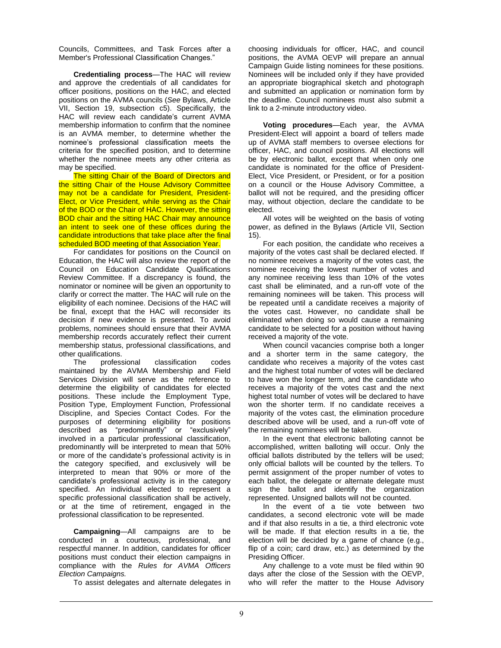Councils, Committees, and Task Forces after a Member's Professional Classification Changes."

**Credentialing process**—The HAC will review and approve the credentials of all candidates for officer positions, positions on the HAC, and elected positions on the AVMA councils (*See* Bylaws, Article VII, Section 19, subsection c5). Specifically, the HAC will review each candidate's current AVMA membership information to confirm that the nominee is an AVMA member, to determine whether the nominee's professional classification meets the criteria for the specified position, and to determine whether the nominee meets any other criteria as may be specified.

The sitting Chair of the Board of Directors and the sitting Chair of the House Advisory Committee may not be a candidate for President, President-Elect, or Vice President, while serving as the Chair of the BOD or the Chair of HAC. However, the sitting BOD chair and the sitting HAC Chair may announce an intent to seek one of these offices during the candidate introductions that take place after the final scheduled BOD meeting of that Association Year.

For candidates for positions on the Council on Education, the HAC will also review the report of the Council on Education Candidate Qualifications Review Committee. If a discrepancy is found, the nominator or nominee will be given an opportunity to clarify or correct the matter. The HAC will rule on the eligibility of each nominee. Decisions of the HAC will be final, except that the HAC will reconsider its decision if new evidence is presented. To avoid problems, nominees should ensure that their AVMA membership records accurately reflect their current membership status, professional classifications, and other qualifications.

The professional classification codes maintained by the AVMA Membership and Field Services Division will serve as the reference to determine the eligibility of candidates for elected positions. These include the Employment Type, Position Type, Employment Function, Professional Discipline, and Species Contact Codes. For the purposes of determining eligibility for positions described as "predominantly" or "exclusively" involved in a particular professional classification, predominantly will be interpreted to mean that 50% or more of the candidate's professional activity is in the category specified, and exclusively will be interpreted to mean that 90% or more of the candidate's professional activity is in the category specified. An individual elected to represent a specific professional classification shall be actively, or at the time of retirement, engaged in the professional classification to be represented.

**Campaigning**—All campaigns are to be conducted in a courteous, professional, and respectful manner. In addition, candidates for officer positions must conduct their election campaigns in compliance with the *Rules for AVMA Officers Election Campaigns.*

To assist delegates and alternate delegates in

choosing individuals for officer, HAC, and council positions, the AVMA OEVP will prepare an annual Campaign Guide listing nominees for these positions. Nominees will be included only if they have provided an appropriate biographical sketch and photograph and submitted an application or nomination form by the deadline. Council nominees must also submit a link to a 2-minute introductory video.

**Voting procedures**—Each year, the AVMA President-Elect will appoint a board of tellers made up of AVMA staff members to oversee elections for officer, HAC, and council positions. All elections will be by electronic ballot, except that when only one candidate is nominated for the office of President-Elect, Vice President, or President, or for a position on a council or the House Advisory Committee, a ballot will not be required, and the presiding officer may, without objection, declare the candidate to be elected.

All votes will be weighted on the basis of voting power, as defined in the Bylaws (Article VII, Section 15).

For each position, the candidate who receives a majority of the votes cast shall be declared elected. If no nominee receives a majority of the votes cast, the nominee receiving the lowest number of votes and any nominee receiving less than 10% of the votes cast shall be eliminated, and a run-off vote of the remaining nominees will be taken. This process will be repeated until a candidate receives a majority of the votes cast. However, no candidate shall be eliminated when doing so would cause a remaining candidate to be selected for a position without having received a majority of the vote.

When council vacancies comprise both a longer and a shorter term in the same category, the candidate who receives a majority of the votes cast and the highest total number of votes will be declared to have won the longer term, and the candidate who receives a majority of the votes cast and the next highest total number of votes will be declared to have won the shorter term. If no candidate receives a majority of the votes cast, the elimination procedure described above will be used, and a run-off vote of the remaining nominees will be taken.

In the event that electronic balloting cannot be accomplished, written balloting will occur. Only the official ballots distributed by the tellers will be used; only official ballots will be counted by the tellers. To permit assignment of the proper number of votes to each ballot, the delegate or alternate delegate must sign the ballot and identify the organization represented. Unsigned ballots will not be counted.

In the event of a tie vote between two candidates, a second electronic vote will be made and if that also results in a tie, a third electronic vote will be made. If that election results in a tie, the election will be decided by a game of chance (e.g., flip of a coin; card draw, etc.) as determined by the Presiding Officer.

Any challenge to a vote must be filed within 90 days after the close of the Session with the OEVP, who will refer the matter to the House Advisory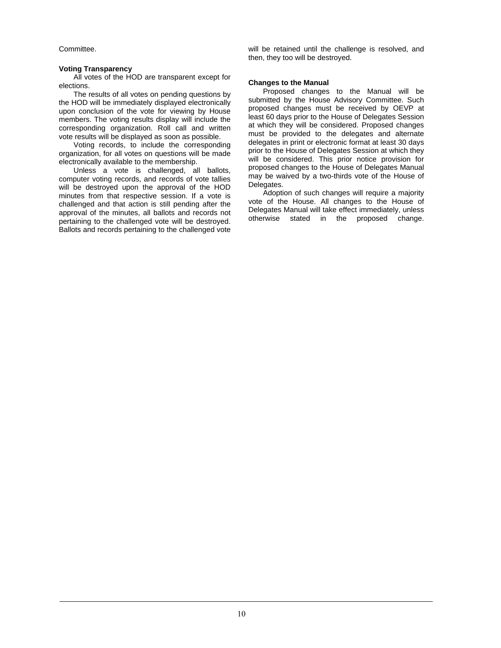Committee.

#### **Voting Transparency**

All votes of the HOD are transparent except for elections.

The results of all votes on pending questions by the HOD will be immediately displayed electronically upon conclusion of the vote for viewing by House members. The voting results display will include the corresponding organization. Roll call and written vote results will be displayed as soon as possible.

Voting records, to include the corresponding organization, for all votes on questions will be made electronically available to the membership.

Unless a vote is challenged, all ballots, computer voting records, and records of vote tallies will be destroyed upon the approval of the HOD minutes from that respective session. If a vote is challenged and that action is still pending after the approval of the minutes, all ballots and records not pertaining to the challenged vote will be destroyed. Ballots and records pertaining to the challenged vote will be retained until the challenge is resolved, and then, they too will be destroyed.

### **Changes to the Manual**

Proposed changes to the Manual will be submitted by the House Advisory Committee. Such proposed changes must be received by OEVP at least 60 days prior to the House of Delegates Session at which they will be considered. Proposed changes must be provided to the delegates and alternate delegates in print or electronic format at least 30 days prior to the House of Delegates Session at which they will be considered. This prior notice provision for proposed changes to the House of Delegates Manual may be waived by a two-thirds vote of the House of Delegates.

Adoption of such changes will require a majority vote of the House. All changes to the House of Delegates Manual will take effect immediately, unless otherwise stated in the proposed change.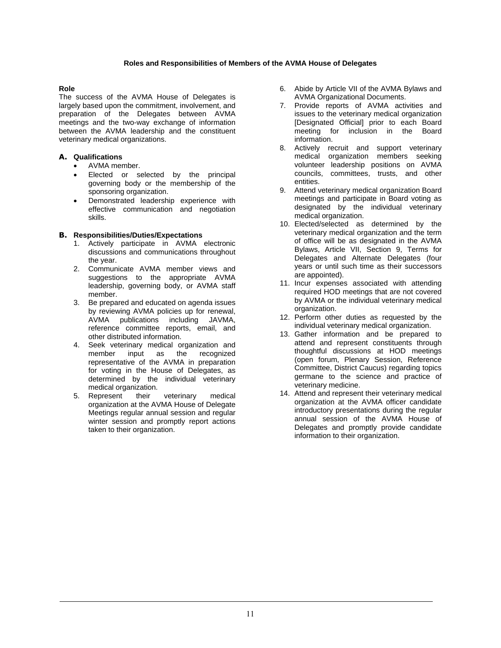# **Roles and Responsibilities of Members of the AVMA House of Delegates**

# **Role**

The success of the AVMA House of Delegates is largely based upon the commitment, involvement, and preparation of the Delegates between AVMA meetings and the two-way exchange of information between the AVMA leadership and the constituent veterinary medical organizations.

# **A. Qualifications**

- AVMA member.
- Elected or selected by the principal governing body or the membership of the sponsoring organization.
- Demonstrated leadership experience with effective communication and negotiation skills.

# **B. Responsibilities/Duties/Expectations**

- 1. Actively participate in AVMA electronic discussions and communications throughout the year.
- 2. Communicate AVMA member views and suggestions to the appropriate AVMA leadership, governing body, or AVMA staff member.
- 3. Be prepared and educated on agenda issues by reviewing AVMA policies up for renewal, AVMA publications including JAVMA, reference committee reports, email, and other distributed information.
- 4. Seek veterinary medical organization and member input as the recognized representative of the AVMA in preparation for voting in the House of Delegates, as determined by the individual veterinary medical organization.
- 5. Represent their veterinary medical organization at the AVMA House of Delegate Meetings regular annual session and regular winter session and promptly report actions taken to their organization.
- 6. Abide by Article VII of the AVMA Bylaws and AVMA Organizational Documents.
- 7. Provide reports of AVMA activities and issues to the veterinary medical organization [Designated Official] prior to each Board meeting for inclusion in the Board information.
- 8. Actively recruit and support veterinary medical organization members seeking volunteer leadership positions on AVMA councils, committees, trusts, and other entities.
- 9. Attend veterinary medical organization Board meetings and participate in Board voting as designated by the individual veterinary medical organization.
- 10. Elected/selected as determined by the veterinary medical organization and the term of office will be as designated in the AVMA Bylaws, Article VII, Section 9, Terms for Delegates and Alternate Delegates (four years or until such time as their successors are appointed).
- 11. Incur expenses associated with attending required HOD meetings that are not covered by AVMA or the individual veterinary medical organization.
- 12. Perform other duties as requested by the individual veterinary medical organization.
- 13. Gather information and be prepared to attend and represent constituents through thoughtful discussions at HOD meetings (open forum, Plenary Session, Reference Committee, District Caucus) regarding topics germane to the science and practice of veterinary medicine.
- 14. Attend and represent their veterinary medical organization at the AVMA officer candidate introductory presentations during the regular annual session of the AVMA House of Delegates and promptly provide candidate information to their organization.